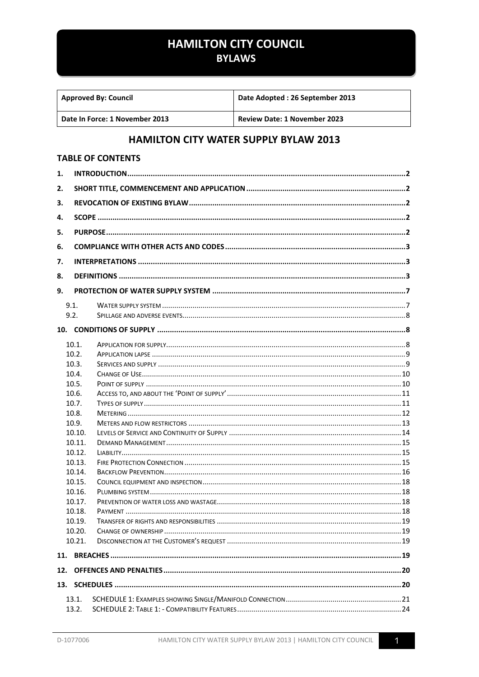## **HAMILTON CITY COUNCIL**

## **BYLAWS**

| <b>Approved By: Council</b>    | Date Adopted: 26 September 2013     |  |  |  |  |
|--------------------------------|-------------------------------------|--|--|--|--|
| Date In Force: 1 November 2013 | <b>Review Date: 1 November 2023</b> |  |  |  |  |

## **HAMILTON CITY WATER SUPPLY BYLAW 2013**

#### **TABLE OF CONTENTS**

| 1.  |        |  |  |  |  |  |
|-----|--------|--|--|--|--|--|
| 2.  |        |  |  |  |  |  |
| 3.  |        |  |  |  |  |  |
| 4.  |        |  |  |  |  |  |
| 5.  |        |  |  |  |  |  |
|     |        |  |  |  |  |  |
| 6.  |        |  |  |  |  |  |
| 7.  |        |  |  |  |  |  |
| 8.  |        |  |  |  |  |  |
| 9.  |        |  |  |  |  |  |
|     | 9.1.   |  |  |  |  |  |
|     | 9.2.   |  |  |  |  |  |
|     |        |  |  |  |  |  |
|     | 10.1.  |  |  |  |  |  |
|     | 10.2.  |  |  |  |  |  |
|     | 10.3.  |  |  |  |  |  |
|     | 10.4.  |  |  |  |  |  |
|     | 10.5.  |  |  |  |  |  |
|     | 10.6.  |  |  |  |  |  |
|     | 10.7.  |  |  |  |  |  |
|     | 10.8.  |  |  |  |  |  |
|     | 10.9.  |  |  |  |  |  |
|     | 10.10. |  |  |  |  |  |
|     | 10.11. |  |  |  |  |  |
|     | 10.12. |  |  |  |  |  |
|     | 10.13. |  |  |  |  |  |
|     | 10.14. |  |  |  |  |  |
|     | 10.15. |  |  |  |  |  |
|     | 10.16. |  |  |  |  |  |
|     | 10.17. |  |  |  |  |  |
|     | 10.18. |  |  |  |  |  |
|     | 10.19. |  |  |  |  |  |
|     | 10.20. |  |  |  |  |  |
|     | 10.21. |  |  |  |  |  |
|     |        |  |  |  |  |  |
| 12. |        |  |  |  |  |  |
|     |        |  |  |  |  |  |
|     | 13.1.  |  |  |  |  |  |
|     | 13.2.  |  |  |  |  |  |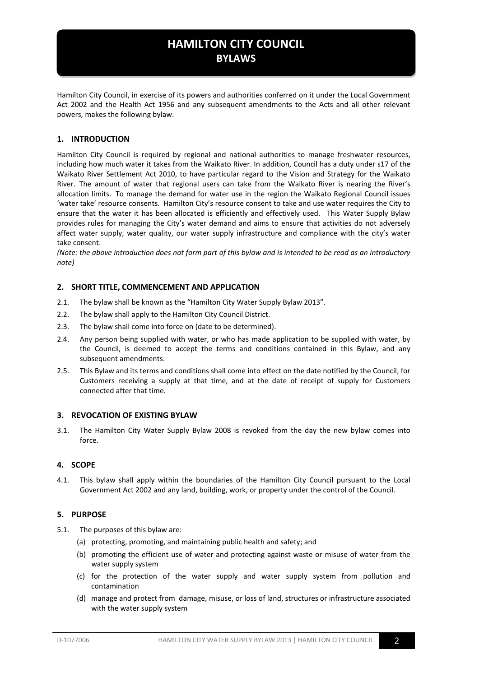Hamilton City Council, in exercise of its powers and authorities conferred on it under the Local Government Act 2002 and the Health Act 1956 and any subsequent amendments to the Acts and all other relevant powers, makes the following bylaw.

#### <span id="page-1-0"></span>**1. INTRODUCTION**

Hamilton City Council is required by regional and national authorities to manage freshwater resources, including how much water it takes from the Waikato River. In addition, Council has a duty under s17 of the Waikato River Settlement Act 2010, to have particular regard to the Vision and Strategy for the Waikato River. The amount of water that regional users can take from the Waikato River is nearing the River's allocation limits. To manage the demand for water use in the region the Waikato Regional Council issues 'water take' resource consents. Hamilton City's resource consent to take and use water requires the City to ensure that the water it has been allocated is efficiently and effectively used. This Water Supply Bylaw provides rules for managing the City's water demand and aims to ensure that activities do not adversely affect water supply, water quality, our water supply infrastructure and compliance with the city's water take consent.

*(Note: the above introduction does not form part of this bylaw and is intended to be read as an introductory note)*

#### <span id="page-1-1"></span>**2. SHORT TITLE, COMMENCEMENT AND APPLICATION**

- 2.1. The bylaw shall be known as the "Hamilton City Water Supply Bylaw 2013".
- 2.2. The bylaw shall apply to the Hamilton City Council District.
- 2.3. The bylaw shall come into force on (date to be determined).
- 2.4. Any person being supplied with water, or who has made application to be supplied with water, by the Council, is deemed to accept the terms and conditions contained in this Bylaw, and any subsequent amendments.
- 2.5. This Bylaw and its terms and conditions shall come into effect on the date notified by the Council, for Customers receiving a supply at that time, and at the date of receipt of supply for Customers connected after that time.

#### <span id="page-1-2"></span>**3. REVOCATION OF EXISTING BYLAW**

3.1. The Hamilton City Water Supply Bylaw 2008 is revoked from the day the new bylaw comes into force.

#### <span id="page-1-3"></span>**4. SCOPE**

4.1. This bylaw shall apply within the boundaries of the Hamilton City Council pursuant to the Local Government Act 2002 and any land, building, work, or property under the control of the Council.

#### <span id="page-1-4"></span>**5. PURPOSE**

- 5.1. The purposes of this bylaw are:
	- (a) protecting, promoting, and maintaining public health and safety; and
	- (b) promoting the efficient use of water and protecting against waste or misuse of water from the water supply system
	- (c) for the protection of the water supply and water supply system from pollution and contamination
	- (d) manage and protect from damage, misuse, or loss of land, structures or infrastructure associated with the water supply system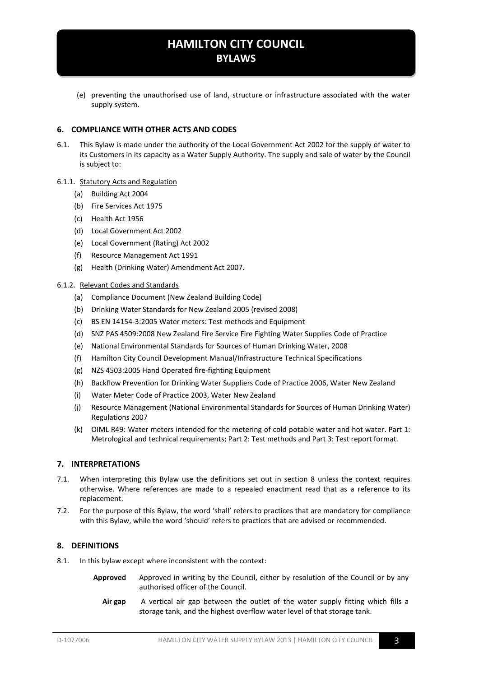(e) preventing the unauthorised use of land, structure or infrastructure associated with the water supply system.

#### <span id="page-2-0"></span>**6. COMPLIANCE WITH OTHER ACTS AND CODES**

6.1. This Bylaw is made under the authority of the Local Government Act 2002 for the supply of water to its Customers in its capacity as a Water Supply Authority. The supply and sale of water by the Council is subject to:

#### 6.1.1. Statutory Acts and Regulation

- (a) Building Act 2004
- (b) Fire Services Act 1975
- (c) Health Act 1956
- (d) Local Government Act 2002
- (e) Local Government (Rating) Act 2002
- (f) Resource Management Act 1991
- (g) Health (Drinking Water) Amendment Act 2007.

#### 6.1.2. Relevant Codes and Standards

- (a) Compliance Document (New Zealand Building Code)
- (b) Drinking Water Standards for New Zealand 2005 (revised 2008)
- (c) BS EN 14154-3:2005 Water meters: Test methods and Equipment
- (d) SNZ PAS 4509:2008 New Zealand Fire Service Fire Fighting Water Supplies Code of Practice
- (e) National Environmental Standards for Sources of Human Drinking Water, 2008
- (f) Hamilton City Council Development Manual/Infrastructure Technical Specifications
- (g) NZS 4503:2005 Hand Operated fire-fighting Equipment
- (h) Backflow Prevention for Drinking Water Suppliers Code of Practice 2006, Water New Zealand
- (i) Water Meter Code of Practice 2003, Water New Zealand
- (j) Resource Management (National Environmental Standards for Sources of Human Drinking Water) Regulations 2007
- (k) OIML R49: Water meters intended for the metering of cold potable water and hot water. Part 1: Metrological and technical requirements; Part 2: Test methods and Part 3: Test report format.

#### <span id="page-2-1"></span>**7. INTERPRETATIONS**

- 7.1. When interpreting this Bylaw use the definitions set out in section [8](#page-2-2) unless the context requires otherwise. Where references are made to a repealed enactment read that as a reference to its replacement.
- 7.2. For the purpose of this Bylaw, the word 'shall' refers to practices that are mandatory for compliance with this Bylaw, while the word 'should' refers to practices that are advised or recommended.

#### <span id="page-2-2"></span>**8. DEFINITIONS**

- 8.1. In this bylaw except where inconsistent with the context:
	- **Approved** Approved in writing by the Council, either by resolution of the Council or by any authorised officer of the Council.
		- **Air gap** A vertical air gap between the outlet of the water supply fitting which fills a storage tank, and the highest overflow water level of that storage tank.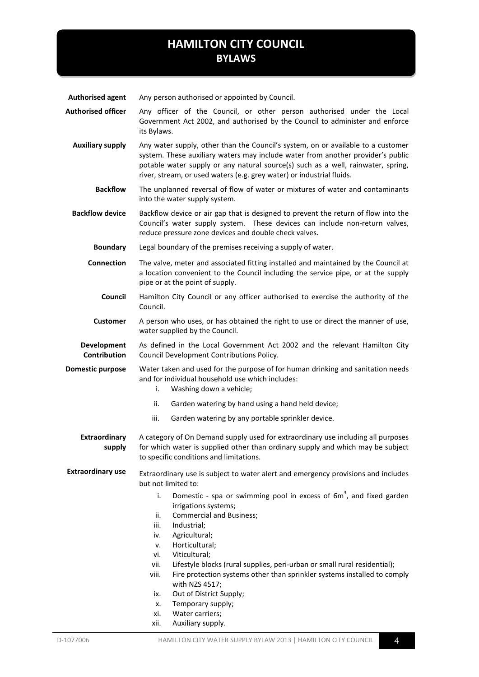**Authorised agent** Any person authorised or appointed by Council.

**Authorised officer** Any officer of the Council, or other person authorised under the Local Government Act 2002, and authorised by the Council to administer and enforce its Bylaws.

- **Auxiliary supply** Any water supply, other than the Council's system, on or available to a customer system. These auxiliary waters may include water from another provider's public potable water supply or any natural source(s) such as a well, rainwater, spring, river, stream, or used waters (e.g. grey water) or industrial fluids.
	- **Backflow** The unplanned reversal of flow of water or mixtures of water and contaminants into the water supply system.

**Backflow device** Backflow device or air gap that is designed to prevent the return of flow into the Council's water supply system. These devices can include non-return valves, reduce pressure zone devices and double check valves.

**Boundary** Legal boundary of the premises receiving a supply of water.

**Connection** The valve, meter and associated fitting installed and maintained by the Council at a location convenient to the Council including the service pipe, or at the supply pipe or at the point of supply.

- **Council** Hamilton City Council or any officer authorised to exercise the authority of the Council.
- **Customer** A person who uses, or has obtained the right to use or direct the manner of use, water supplied by the Council.

**Development Contribution** As defined in the Local Government Act 2002 and the relevant Hamilton City Council Development Contributions Policy.

**Domestic purpose** Water taken and used for the purpose of for human drinking and sanitation needs and for individual household use which includes:

- i. Washing down a vehicle;
- ii. Garden watering by hand using a hand held device;
- iii. Garden watering by any portable sprinkler device.

**Extraordinary supply** A category of On Demand supply used for extraordinary use including all purposes for which water is supplied other than ordinary supply and which may be subject to specific conditions and limitations.

**Extraordinary use** Extraordinary use is subject to water alert and emergency provisions and includes but not limited to:

- i. Domestic spa or swimming pool in excess of  $6m<sup>3</sup>$ , and fixed garden irrigations systems;
- ii. Commercial and Business;
- iii. Industrial;
- iv. Agricultural;
- v. Horticultural;
- vi. Viticultural;
- vii. Lifestyle blocks (rural supplies, peri-urban or small rural residential);
- viii. Fire protection systems other than sprinkler systems installed to comply with NZS 4517;
- ix. Out of District Supply;
- x. Temporary supply;
- xi. Water carriers;
- xii. Auxiliary supply.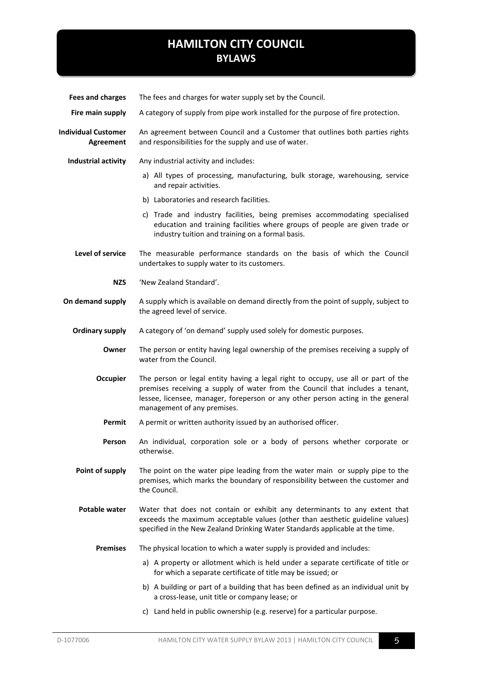| <b>Fees and charges</b>                        | The fees and charges for water supply set by the Council.                                                                                                                                                                                                                            |  |  |
|------------------------------------------------|--------------------------------------------------------------------------------------------------------------------------------------------------------------------------------------------------------------------------------------------------------------------------------------|--|--|
| Fire main supply                               | A category of supply from pipe work installed for the purpose of fire protection.                                                                                                                                                                                                    |  |  |
| <b>Individual Customer</b><br><b>Agreement</b> | An agreement between Council and a Customer that outlines both parties rights<br>and responsibilities for the supply and use of water.                                                                                                                                               |  |  |
| Industrial activity                            | Any industrial activity and includes:                                                                                                                                                                                                                                                |  |  |
|                                                | a) All types of processing, manufacturing, bulk storage, warehousing, service<br>and repair activities.                                                                                                                                                                              |  |  |
|                                                | b) Laboratories and research facilities.                                                                                                                                                                                                                                             |  |  |
|                                                | c) Trade and industry facilities, being premises accommodating specialised<br>education and training facilities where groups of people are given trade or<br>industry tuition and training on a formal basis.                                                                        |  |  |
| Level of service                               | The measurable performance standards on the basis of which the Council<br>undertakes to supply water to its customers.                                                                                                                                                               |  |  |
| <b>NZS</b>                                     | 'New Zealand Standard'.                                                                                                                                                                                                                                                              |  |  |
| On demand supply                               | A supply which is available on demand directly from the point of supply, subject to<br>the agreed level of service.                                                                                                                                                                  |  |  |
| <b>Ordinary supply</b>                         | A category of 'on demand' supply used solely for domestic purposes.                                                                                                                                                                                                                  |  |  |
| Owner                                          | The person or entity having legal ownership of the premises receiving a supply of<br>water from the Council.                                                                                                                                                                         |  |  |
| <b>Occupier</b>                                | The person or legal entity having a legal right to occupy, use all or part of the<br>premises receiving a supply of water from the Council that includes a tenant,<br>lessee, licensee, manager, foreperson or any other person acting in the general<br>management of any premises. |  |  |
| Permit                                         | A permit or written authority issued by an authorised officer.                                                                                                                                                                                                                       |  |  |
| Person                                         | An individual, corporation sole or a body of persons whether corporate or<br>otherwise.                                                                                                                                                                                              |  |  |
| Point of supply                                | The point on the water pipe leading from the water main or supply pipe to the<br>premises, which marks the boundary of responsibility between the customer and<br>the Council.                                                                                                       |  |  |
| <b>Potable water</b>                           | Water that does not contain or exhibit any determinants to any extent that<br>exceeds the maximum acceptable values (other than aesthetic guideline values)<br>specified in the New Zealand Drinking Water Standards applicable at the time.                                         |  |  |
| <b>Premises</b>                                | The physical location to which a water supply is provided and includes:                                                                                                                                                                                                              |  |  |
|                                                | a) A property or allotment which is held under a separate certificate of title or<br>for which a separate certificate of title may be issued; or                                                                                                                                     |  |  |
|                                                | b) A building or part of a building that has been defined as an individual unit by<br>a cross-lease, unit title or company lease; or                                                                                                                                                 |  |  |
|                                                | c) Land held in public ownership (e.g. reserve) for a particular purpose.                                                                                                                                                                                                            |  |  |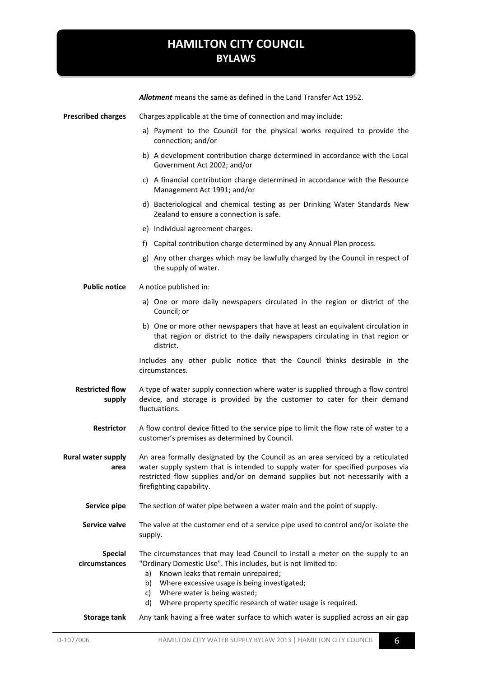|                                   | Allotment means the same as defined in the Land Transfer Act 1952.                                                                                                                                                                                                                                                                                              |  |  |  |  |
|-----------------------------------|-----------------------------------------------------------------------------------------------------------------------------------------------------------------------------------------------------------------------------------------------------------------------------------------------------------------------------------------------------------------|--|--|--|--|
| <b>Prescribed charges</b>         | Charges applicable at the time of connection and may include:                                                                                                                                                                                                                                                                                                   |  |  |  |  |
|                                   | a) Payment to the Council for the physical works required to provide the<br>connection; and/or                                                                                                                                                                                                                                                                  |  |  |  |  |
|                                   | b) A development contribution charge determined in accordance with the Local<br>Government Act 2002; and/or                                                                                                                                                                                                                                                     |  |  |  |  |
|                                   | c) A financial contribution charge determined in accordance with the Resource<br>Management Act 1991; and/or                                                                                                                                                                                                                                                    |  |  |  |  |
|                                   | d) Bacteriological and chemical testing as per Drinking Water Standards New<br>Zealand to ensure a connection is safe.                                                                                                                                                                                                                                          |  |  |  |  |
|                                   | e) Individual agreement charges.                                                                                                                                                                                                                                                                                                                                |  |  |  |  |
|                                   | f) Capital contribution charge determined by any Annual Plan process.                                                                                                                                                                                                                                                                                           |  |  |  |  |
|                                   | g) Any other charges which may be lawfully charged by the Council in respect of<br>the supply of water.                                                                                                                                                                                                                                                         |  |  |  |  |
| <b>Public notice</b>              | A notice published in:                                                                                                                                                                                                                                                                                                                                          |  |  |  |  |
|                                   | a) One or more daily newspapers circulated in the region or district of the<br>Council; or                                                                                                                                                                                                                                                                      |  |  |  |  |
|                                   | b) One or more other newspapers that have at least an equivalent circulation in<br>that region or district to the daily newspapers circulating in that region or<br>district.                                                                                                                                                                                   |  |  |  |  |
|                                   | Includes any other public notice that the Council thinks desirable in the<br>circumstances.                                                                                                                                                                                                                                                                     |  |  |  |  |
| <b>Restricted flow</b><br>supply  | A type of water supply connection where water is supplied through a flow control<br>device, and storage is provided by the customer to cater for their demand<br>fluctuations.                                                                                                                                                                                  |  |  |  |  |
| <b>Restrictor</b>                 | A flow control device fitted to the service pipe to limit the flow rate of water to a<br>customer's premises as determined by Council.                                                                                                                                                                                                                          |  |  |  |  |
| <b>Rural water supply</b><br>area | An area formally designated by the Council as an area serviced by a reticulated<br>water supply system that is intended to supply water for specified purposes via<br>restricted flow supplies and/or on demand supplies but not necessarily with a<br>firefighting capability.                                                                                 |  |  |  |  |
| Service pipe                      | The section of water pipe between a water main and the point of supply.                                                                                                                                                                                                                                                                                         |  |  |  |  |
| Service valve                     | The valve at the customer end of a service pipe used to control and/or isolate the<br>supply.                                                                                                                                                                                                                                                                   |  |  |  |  |
| <b>Special</b><br>circumstances   | The circumstances that may lead Council to install a meter on the supply to an<br>"Ordinary Domestic Use". This includes, but is not limited to:<br>Known leaks that remain unrepaired;<br>a)<br>Where excessive usage is being investigated;<br>b)<br>Where water is being wasted;<br>c)<br>Where property specific research of water usage is required.<br>d) |  |  |  |  |
| <b>Storage tank</b>               | Any tank having a free water surface to which water is supplied across an air gap                                                                                                                                                                                                                                                                               |  |  |  |  |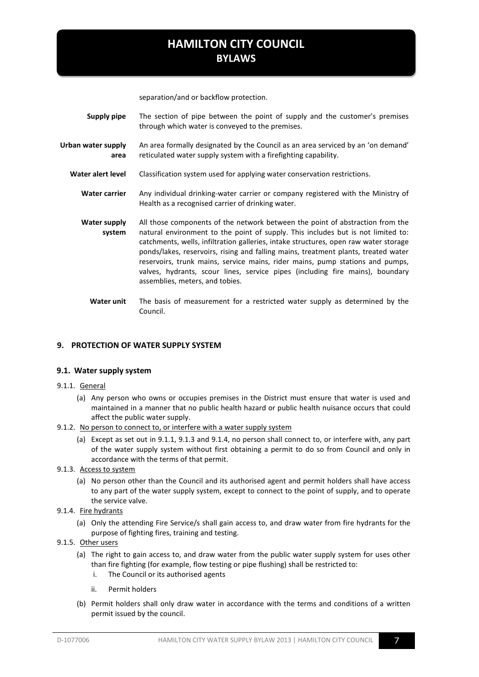separation/and or backflow protection.

- **Supply pipe** The section of pipe between the point of supply and the customer's premises through which water is conveyed to the premises.
- **Urban water supply area**  An area formally designated by the Council as an area serviced by an 'on demand' reticulated water supply system with a firefighting capability.
	- **Water alert level** Classification system used for applying water conservation restrictions.
		- **Water carrier** Any individual drinking-water carrier or company registered with the Ministry of Health as a recognised carrier of drinking water.
		- **Water supply system**  All those components of the network between the point of abstraction from the natural environment to the point of supply. This includes but is not limited to: catchments, wells, infiltration galleries, intake structures, open raw water storage ponds/lakes, reservoirs, rising and falling mains, treatment plants, treated water reservoirs, trunk mains, service mains, rider mains, pump stations and pumps, valves, hydrants, scour lines, service pipes (including fire mains), boundary assemblies, meters, and tobies.
			- **Water unit** The basis of measurement for a restricted water supply as determined by the Council.

#### <span id="page-6-0"></span>**9. PROTECTION OF WATER SUPPLY SYSTEM**

#### <span id="page-6-1"></span>**9.1. Water supply system**

- <span id="page-6-2"></span>9.1.1. General
	- (a) Any person who owns or occupies premises in the District must ensure that water is used and maintained in a manner that no public health hazard or public health nuisance occurs that could affect the public water supply.
- 9.1.2. No person to connect to, or interfere with a water supply system
	- (a) Except as set out in [9.1.1,](#page-6-2) [9.1.3](#page-6-3) and [9.1.4,](#page-6-4) no person shall connect to, or interfere with, any part of the water supply system without first obtaining a permit to do so from Council and only in accordance with the terms of that permit.
- <span id="page-6-3"></span>9.1.3. Access to system
	- (a) No person other than the Council and its authorised agent and permit holders shall have access to any part of the water supply system, except to connect to the point of supply, and to operate the service valve.
- <span id="page-6-4"></span>9.1.4. Fire hydrants
	- (a) Only the attending Fire Service/s shall gain access to, and draw water from fire hydrants for the purpose of fighting fires, training and testing.
- <span id="page-6-5"></span>9.1.5. Other users
	- (a) The right to gain access to, and draw water from the public water supply system for uses other than fire fighting (for example, flow testing or pipe flushing) shall be restricted to:
		- i. The Council or its authorised agents
		- ii. Permit holders
	- (b) Permit holders shall only draw water in accordance with the terms and conditions of a written permit issued by the council.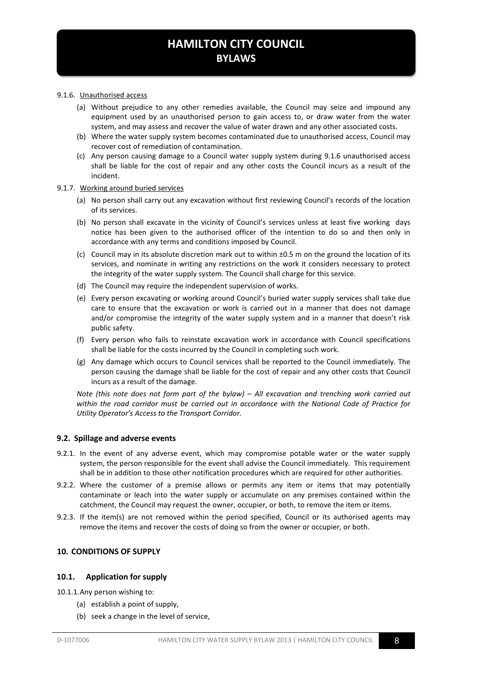#### 9.1.6. Unauthorised access

- (a) Without prejudice to any other remedies available, the Council may seize and impound any equipment used by an unauthorised person to gain access to, or draw water from the water system, and may assess and recover the value of water drawn and any other associated costs.
- (b) Where the water supply system becomes contaminated due to unauthorised access, Council may recover cost of remediation of contamination.
- (c) Any person causing damage to a Council water supply system during [9.1.6](#page-6-5) unauthorised access shall be liable for the cost of repair and any other costs the Council incurs as a result of the incident.

#### 9.1.7. Working around buried services

- (a) No person shall carry out any excavation without first reviewing Council's records of the location of its services.
- (b) No person shall excavate in the vicinity of Council's services unless at least five working days notice has been given to the authorised officer of the intention to do so and then only in accordance with any terms and conditions imposed by Council.
- (c) Council may in its absolute discretion mark out to within ±0.5 m on the ground the location of its services, and nominate in writing any restrictions on the work it considers necessary to protect the integrity of the water supply system. The Council shall charge for this service.
- (d) The Council may require the independent supervision of works.
- (e) Every person excavating or working around Council's buried water supply services shall take due care to ensure that the excavation or work is carried out in a manner that does not damage and/or compromise the integrity of the water supply system and in a manner that doesn't risk public safety.
- (f) Every person who fails to reinstate excavation work in accordance with Council specifications shall be liable for the costs incurred by the Council in completing such work.
- (g) Any damage which occurs to Council services shall be reported to the Council immediately. The person causing the damage shall be liable for the cost of repair and any other costs that Council incurs as a result of the damage.

*Note (this note does not form part of the bylaw) – All excavation and trenching work carried out within the road corridor must be carried out in accordance with the National Code of Practice for Utility Operator's Access to the Transport Corridor.* 

#### <span id="page-7-0"></span>**9.2. Spillage and adverse events**

- 9.2.1. In the event of any adverse event, which may compromise potable water or the water supply system, the person responsible for the event shall advise the Council immediately. This requirement shall be in addition to those other notification procedures which are required for other authorities.
- 9.2.2. Where the customer of a premise allows or permits any item or items that may potentially contaminate or leach into the water supply or accumulate on any premises contained within the catchment, the Council may request the owner, occupier, or both, to remove the item or items.
- 9.2.3. If the item(s) are not removed within the period specified, Council or its authorised agents may remove the items and recover the costs of doing so from the owner or occupier, or both.

#### <span id="page-7-1"></span>**10. CONDITIONS OF SUPPLY**

#### <span id="page-7-2"></span>**10.1. Application for supply**

10.1.1.Any person wishing to:

- (a) establish a point of supply,
- (b) seek a change in the level of service,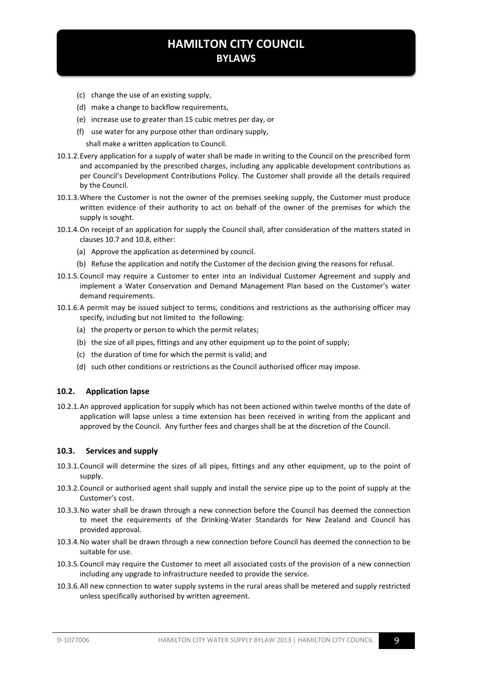- (c) change the use of an existing supply,
- (d) make a change to backflow requirements,
- (e) increase use to greater than 15 cubic metres per day, or
- (f) use water for any purpose other than ordinary supply,

shall make a written application to Council.

- 10.1.2.Every application for a supply of water shall be made in writing to the Council on the prescribed form and accompanied by the prescribed charges, including any applicable development contributions as per Council's Development Contributions Policy. The Customer shall provide all the details required by the Council.
- 10.1.3.Where the Customer is not the owner of the premises seeking supply, the Customer must produce written evidence of their authority to act on behalf of the owner of the premises for which the supply is sought.
- 10.1.4.On receipt of an application for supply the Council shall, after consideration of the matters stated in clauses [10.7](#page-10-1) and [10.8,](#page-11-0) either:
	- (a) Approve the application as determined by council.
	- (b) Refuse the application and notify the Customer of the decision giving the reasons for refusal.
- 10.1.5.Council may require a Customer to enter into an Individual Customer Agreement and supply and implement a Water Conservation and Demand Management Plan based on the Customer's water demand requirements.
- 10.1.6.A permit may be issued subject to terms, conditions and restrictions as the authorising officer may specify, including but not limited to the following:
	- (a) the property or person to which the permit relates;
	- (b) the size of all pipes, fittings and any other equipment up to the point of supply;
	- (c) the duration of time for which the permit is valid; and
	- (d) such other conditions or restrictions as the Council authorised officer may impose.

#### <span id="page-8-0"></span>**10.2. Application lapse**

10.2.1.An approved application for supply which has not been actioned within twelve months of the date of application will lapse unless a time extension has been received in writing from the applicant and approved by the Council. Any further fees and charges shall be at the discretion of the Council.

#### <span id="page-8-1"></span>**10.3. Services and supply**

- 10.3.1.Council will determine the sizes of all pipes, fittings and any other equipment, up to the point of supply.
- 10.3.2.Council or authorised agent shall supply and install the service pipe up to the point of supply at the Customer's cost.
- 10.3.3.No water shall be drawn through a new connection before the Council has deemed the connection to meet the requirements of the Drinking-Water Standards for New Zealand and Council has provided approval.
- 10.3.4.No water shall be drawn through a new connection before Council has deemed the connection to be suitable for use.
- 10.3.5.Council may require the Customer to meet all associated costs of the provision of a new connection including any upgrade to infrastructure needed to provide the service.
- 10.3.6.All new connection to water supply systems in the rural areas shall be metered and supply restricted unless specifically authorised by written agreement.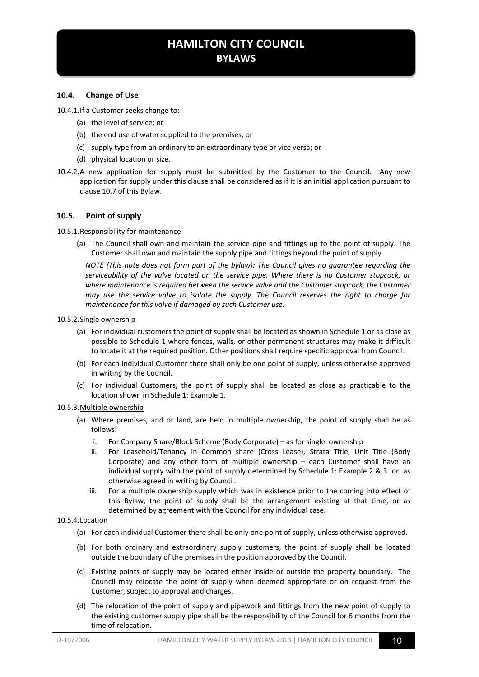#### <span id="page-9-0"></span>**10.4. Change of Use**

10.4.1.If a Customer seeks change to:

- (a) the level of service; or
- (b) the end use of water supplied to the premises; or
- (c) supply type from an ordinary to an extraordinary type or vice versa; or
- (d) physical location or size.
- 10.4.2.A new application for supply must be submitted by the Customer to the Council. Any new application for supply under this clause shall be considered as if it is an initial application pursuant to clause [10.7](#page-10-1) of this Bylaw.

#### <span id="page-9-1"></span>**10.5. Point of supply**

#### 10.5.1. Responsibility for maintenance

(a) The Council shall own and maintain the service pipe and fittings up to the point of supply. The Customer shall own and maintain the supply pipe and fittings beyond the point of supply.

*NOTE (This note does not form part of the bylaw): The Council gives no guarantee regarding the serviceability of the valve located on the service pipe. Where there is no Customer stopcock, or where maintenance is required between the service valve and the Customer stopcock, the Customer may use the service valve to isolate the supply. The Council reserves the right to charge for maintenance for this valve if damaged by such Customer use.* 

#### 10.5.2.Single ownership

- (a) For individual customers the point of supply shall be located as shown in Schedule 1 or as close as possible to Schedule 1 where fences, walls, or other permanent structures may make it difficult to locate it at the required position. Other positions shall require specific approval from Council.
- (b) For each individual Customer there shall only be one point of supply, unless otherwise approved in writing by the Council.
- (c) For individual Customers, the point of supply shall be located as close as practicable to the location shown in Schedule 1: Example 1.

#### 10.5.3.Multiple ownership

- (a) Where premises, and or land, are held in multiple ownership, the point of supply shall be as follows:
	- i. For Company Share/Block Scheme (Body Corporate) as for single ownership
	- ii. For Leasehold/Tenancy in Common share (Cross Lease), Strata Title, Unit Title (Body Corporate) and any other form of multiple ownership – each Customer shall have an individual supply with the point of supply determined by Schedule 1: Example 2 & 3 or as otherwise agreed in writing by Council.
	- iii. For a multiple ownership supply which was in existence prior to the coming into effect of this Bylaw, the point of supply shall be the arrangement existing at that time, or as determined by agreement with the Council for any individual case.

#### 10.5.4.Location

- (a) For each individual Customer there shall be only one point of supply, unless otherwise approved.
- (b) For both ordinary and extraordinary supply customers, the point of supply shall be located outside the boundary of the premises in the position approved by the Council.
- (c) Existing points of supply may be located either inside or outside the property boundary. The Council may relocate the point of supply when deemed appropriate or on request from the Customer, subject to approval and charges.
- (d) The relocation of the point of supply and pipework and fittings from the new point of supply to the existing customer supply pipe shall be the responsibility of the Council for 6 months from the time of relocation.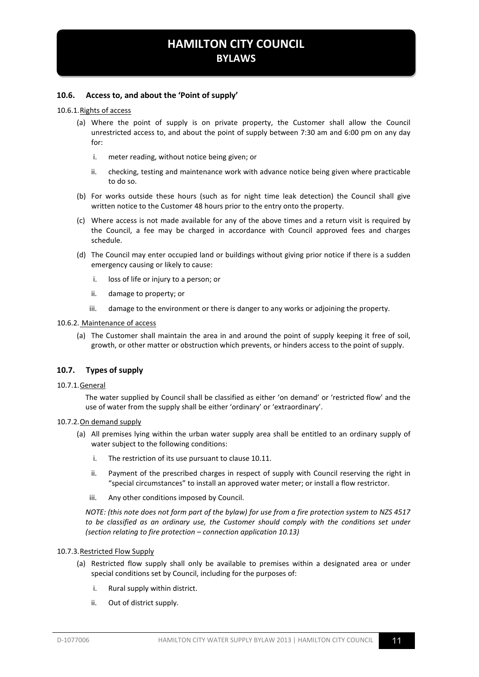#### <span id="page-10-0"></span>**10.6. Access to, and about the 'Point of supply'**

#### 10.6.1.Rights of access

- (a) Where the point of supply is on private property, the Customer shall allow the Council unrestricted access to, and about the point of supply between 7:30 am and 6:00 pm on any day for:
	- i. meter reading, without notice being given; or
	- ii. checking, testing and maintenance work with advance notice being given where practicable to do so.
- (b) For works outside these hours (such as for night time leak detection) the Council shall give written notice to the Customer 48 hours prior to the entry onto the property.
- (c) Where access is not made available for any of the above times and a return visit is required by the Council, a fee may be charged in accordance with Council approved fees and charges schedule.
- (d) The Council may enter occupied land or buildings without giving prior notice if there is a sudden emergency causing or likely to cause:
	- i. loss of life or injury to a person; or
	- ii. damage to property; or
	- iii. damage to the environment or there is danger to any works or adjoining the property.

#### 10.6.2. Maintenance of access

(a) The Customer shall maintain the area in and around the point of supply keeping it free of soil, growth, or other matter or obstruction which prevents, or hinders access to the point of supply.

#### <span id="page-10-1"></span>**10.7. Types of supply**

#### 10.7.1.General

The water supplied by Council shall be classified as either 'on demand' or 'restricted flow' and the use of water from the supply shall be either 'ordinary' or 'extraordinary'.

#### 10.7.2.On demand supply

- (a) All premises lying within the urban water supply area shall be entitled to an ordinary supply of water subject to the following conditions:
	- i. The restriction of its use pursuant to claus[e 10.11.](#page-14-0)
	- ii. Payment of the prescribed charges in respect of supply with Council reserving the right in "special circumstances" to install an approved water meter; or install a flow restrictor.
	- iii. Any other conditions imposed by Council.

*NOTE: (this note does not form part of the bylaw) for use from a fire protection system to NZS 4517 to be classified as an ordinary use, the Customer should comply with the conditions set under (section relating to fire protection – connection applicatio[n 10.13\)](#page-14-2)*

#### <span id="page-10-2"></span>10.7.3.Restricted Flow Supply

- (a) Restricted flow supply shall only be available to premises within a designated area or under special conditions set by Council, including for the purposes of:
	- i. Rural supply within district.
	- ii. Out of district supply.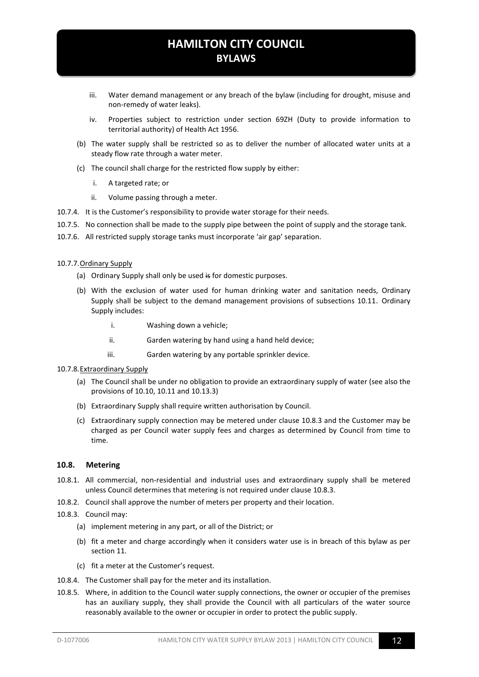- iii. Water demand management or any breach of the bylaw (including for drought, misuse and non-remedy of water leaks).
- iv. Properties subject to restriction under section 69ZH (Duty to provide information to territorial authority) of Health Act 1956.
- (b) The water supply shall be restricted so as to deliver the number of allocated water units at a steady flow rate through a water meter.
- (c) The council shall charge for the restricted flow supply by either:
	- i. A targeted rate; or
	- ii. Volume passing through a meter.
- 10.7.4. It is the Customer's responsibility to provide water storage for their needs.
- 10.7.5. No connection shall be made to the supply pipe between the point of supply and the storage tank.
- 10.7.6. All restricted supply storage tanks must incorporate 'air gap' separation.

#### 10.7.7.Ordinary Supply

- (a) Ordinary Supply shall only be used is for domestic purposes.
- (b) With the exclusion of water used for human drinking water and sanitation needs, Ordinary Supply shall be subject to the demand management provisions of subsections [10.11](#page-14-0). Ordinary Supply includes:
	- i. Washing down a vehicle;
	- ii. Garden watering by hand using a hand held device;
	- iii. Garden watering by any portable sprinkler device.
- 10.7.8.Extraordinary Supply
	- (a) The Council shall be under no obligation to provide an extraordinary supply of water (see also the provisions of [10.10,](#page-13-0) 10.11 and [10.13.3\)](#page-15-1)
	- (b) Extraordinary Supply shall require written authorisation by Council.
	- (c) Extraordinary supply connection may be metered under clause [10.8.3](#page-11-1) and the Customer may be charged as per Council water supply fees and charges as determined by Council from time to time.

#### <span id="page-11-0"></span>**10.8. Metering**

- 10.8.1. All commercial, non-residential and industrial uses and extraordinary supply shall be metered unless Council determines that metering is not required under claus[e 10.8.3.](#page-11-1)
- 10.8.2. Council shall approve the number of meters per property and their location.
- <span id="page-11-1"></span>10.8.3. Council may:
	- (a) implement metering in any part, or all of the District; or
	- (b) fit a meter and charge accordingly when it considers water use is in breach of this bylaw as per section [11.](#page-18-3)
	- (c) fit a meter at the Customer's request.
- 10.8.4. The Customer shall pay for the meter and its installation.
- 10.8.5. Where, in addition to the Council water supply connections, the owner or occupier of the premises has an auxiliary supply, they shall provide the Council with all particulars of the water source reasonably available to the owner or occupier in order to protect the public supply.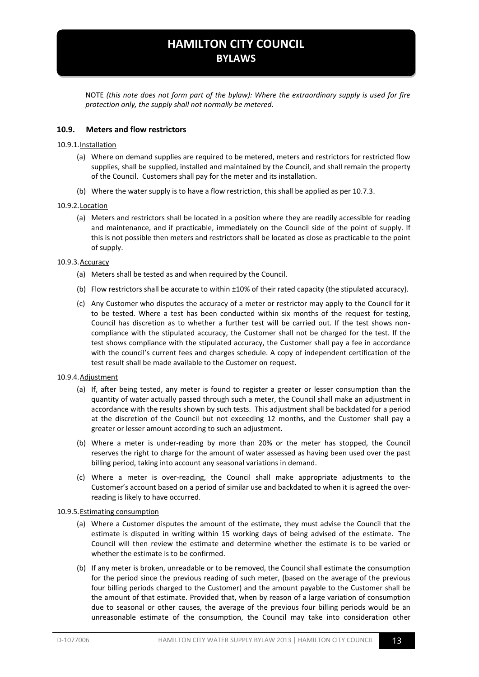NOTE *(this note does not form part of the bylaw): Where the extraordinary supply is used for fire protection only, the supply shall not normally be metered*.

#### <span id="page-12-0"></span>**10.9. Meters and flow restrictors**

#### 10.9.1.Installation

- (a) Where on demand supplies are required to be metered, meters and restrictors for restricted flow supplies, shall be supplied, installed and maintained by the Council, and shall remain the property of the Council. Customers shall pay for the meter and its installation.
- (b) Where the water supply is to have a flow restriction, this shall be applied as pe[r 10.7.3.](#page-10-2)

#### 10.9.2.Location

(a) Meters and restrictors shall be located in a position where they are readily accessible for reading and maintenance, and if practicable, immediately on the Council side of the point of supply. If this is not possible then meters and restrictors shall be located as close as practicable to the point of supply.

#### 10.9.3.Accuracy

- (a) Meters shall be tested as and when required by the Council.
- (b) Flow restrictors shall be accurate to within ±10% of their rated capacity (the stipulated accuracy).
- (c) Any Customer who disputes the accuracy of a meter or restrictor may apply to the Council for it to be tested. Where a test has been conducted within six months of the request for testing, Council has discretion as to whether a further test will be carried out. If the test shows noncompliance with the stipulated accuracy, the Customer shall not be charged for the test. If the test shows compliance with the stipulated accuracy, the Customer shall pay a fee in accordance with the council's current fees and charges schedule. A copy of independent certification of the test result shall be made available to the Customer on request.

#### 10.9.4.Adjustment

- (a) If, after being tested, any meter is found to register a greater or lesser consumption than the quantity of water actually passed through such a meter, the Council shall make an adjustment in accordance with the results shown by such tests. This adjustment shall be backdated for a period at the discretion of the Council but not exceeding 12 months, and the Customer shall pay a greater or lesser amount according to such an adjustment.
- (b) Where a meter is under-reading by more than 20% or the meter has stopped, the Council reserves the right to charge for the amount of water assessed as having been used over the past billing period, taking into account any seasonal variations in demand.
- (c) Where a meter is over-reading, the Council shall make appropriate adjustments to the Customer's account based on a period of similar use and backdated to when it is agreed the overreading is likely to have occurred.

#### <span id="page-12-1"></span>10.9.5.Estimating consumption

- (a) Where a Customer disputes the amount of the estimate, they must advise the Council that the estimate is disputed in writing within 15 working days of being advised of the estimate. The Council will then review the estimate and determine whether the estimate is to be varied or whether the estimate is to be confirmed.
- (b) If any meter is broken, unreadable or to be removed, the Council shall estimate the consumption for the period since the previous reading of such meter, (based on the average of the previous four billing periods charged to the Customer) and the amount payable to the Customer shall be the amount of that estimate. Provided that, when by reason of a large variation of consumption due to seasonal or other causes, the average of the previous four billing periods would be an unreasonable estimate of the consumption, the Council may take into consideration other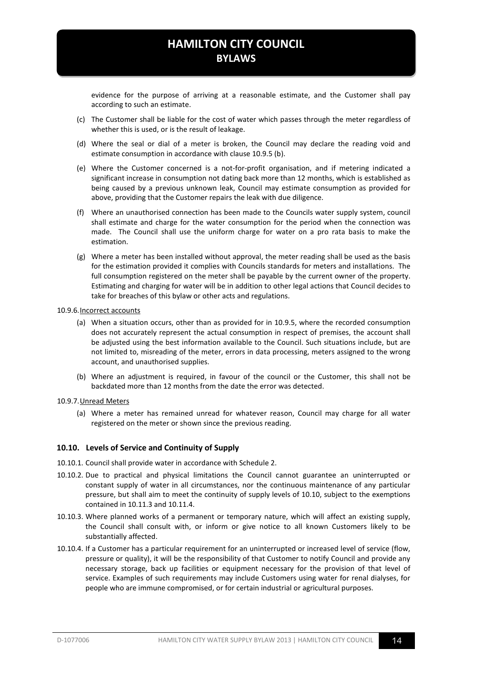evidence for the purpose of arriving at a reasonable estimate, and the Customer shall pay according to such an estimate.

- (c) The Customer shall be liable for the cost of water which passes through the meter regardless of whether this is used, or is the result of leakage.
- (d) Where the seal or dial of a meter is broken, the Council may declare the reading void and estimate consumption in accordance with clause [10.9.5](#page-12-1) (b).
- (e) Where the Customer concerned is a not-for-profit organisation, and if metering indicated a significant increase in consumption not dating back more than 12 months, which is established as being caused by a previous unknown leak, Council may estimate consumption as provided for above, providing that the Customer repairs the leak with due diligence.
- (f) Where an unauthorised connection has been made to the Councils water supply system, council shall estimate and charge for the water consumption for the period when the connection was made. The Council shall use the uniform charge for water on a pro rata basis to make the estimation.
- (g) Where a meter has been installed without approval, the meter reading shall be used as the basis for the estimation provided it complies with Councils standards for meters and installations. The full consumption registered on the meter shall be payable by the current owner of the property. Estimating and charging for water will be in addition to other legal actions that Council decides to take for breaches of this bylaw or other acts and regulations.

#### 10.9.6.Incorrect accounts

- (a) When a situation occurs, other than as provided for in [10.9.5,](#page-12-1) where the recorded consumption does not accurately represent the actual consumption in respect of premises, the account shall be adjusted using the best information available to the Council. Such situations include, but are not limited to, misreading of the meter, errors in data processing, meters assigned to the wrong account, and unauthorised supplies.
- (b) Where an adjustment is required, in favour of the council or the Customer, this shall not be backdated more than 12 months from the date the error was detected.
- 10.9.7.Unread Meters
	- (a) Where a meter has remained unread for whatever reason, Council may charge for all water registered on the meter or shown since the previous reading.

#### <span id="page-13-0"></span>**10.10. Levels of Service and Continuity of Supply**

- 10.10.1. Council shall provide water in accordance with Schedule 2.
- 10.10.2. Due to practical and physical limitations the Council cannot guarantee an uninterrupted or constant supply of water in all circumstances, nor the continuous maintenance of any particular pressure, but shall aim to meet the continuity of supply levels of [10.10,](#page-13-0) subject to the exemptions contained in [10.11.3](#page-14-3) and [10.11.4.](#page-14-4)
- 10.10.3. Where planned works of a permanent or temporary nature, which will affect an existing supply, the Council shall consult with, or inform or give notice to all known Customers likely to be substantially affected.
- 10.10.4. If a Customer has a particular requirement for an uninterrupted or increased level of service (flow, pressure or quality), it will be the responsibility of that Customer to notify Council and provide any necessary storage, back up facilities or equipment necessary for the provision of that level of service. Examples of such requirements may include Customers using water for renal dialyses, for people who are immune compromised, or for certain industrial or agricultural purposes.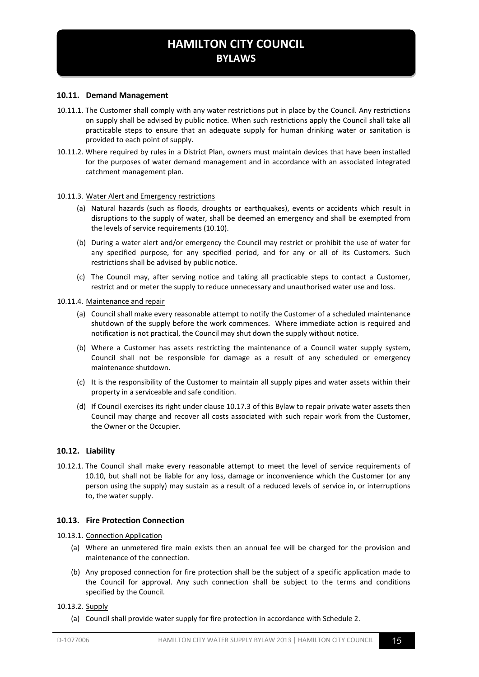#### <span id="page-14-0"></span>**10.11. Demand Management**

- 10.11.1. The Customer shall comply with any water restrictions put in place by the Council. Any restrictions on supply shall be advised by public notice. When such restrictions apply the Council shall take all practicable steps to ensure that an adequate supply for human drinking water or sanitation is provided to each point of supply.
- 10.11.2. Where required by rules in a District Plan, owners must maintain devices that have been installed for the purposes of water demand management and in accordance with an associated integrated catchment management plan.

#### <span id="page-14-3"></span>10.11.3. Water Alert and Emergency restrictions

- (a) Natural hazards (such as floods, droughts or earthquakes), events or accidents which result in disruptions to the supply of water, shall be deemed an emergency and shall be exempted from the levels of service requirements [\(10.10\)](#page-13-0).
- (b) During a water alert and/or emergency the Council may restrict or prohibit the use of water for any specified purpose, for any specified period, and for any or all of its Customers. Such restrictions shall be advised by public notice.
- (c) The Council may, after serving notice and taking all practicable steps to contact a Customer, restrict and or meter the supply to reduce unnecessary and unauthorised water use and loss.

#### <span id="page-14-4"></span>10.11.4. Maintenance and repair

- (a) Council shall make every reasonable attempt to notify the Customer of a scheduled maintenance shutdown of the supply before the work commences. Where immediate action is required and notification is not practical, the Council may shut down the supply without notice.
- (b) Where a Customer has assets restricting the maintenance of a Council water supply system, Council shall not be responsible for damage as a result of any scheduled or emergency maintenance shutdown.
- (c) It is the responsibility of the Customer to maintain all supply pipes and water assets within their property in a serviceable and safe condition.
- (d) If Council exercises its right under claus[e 10.17.3](#page-17-4) of this Bylaw to repair private water assets then Council may charge and recover all costs associated with such repair work from the Customer, the Owner or the Occupier.

#### <span id="page-14-1"></span>**10.12. Liability**

10.12.1. The Council shall make every reasonable attempt to meet the level of service requirements of [10.10,](#page-13-0) but shall not be liable for any loss, damage or inconvenience which the Customer (or any person using the supply) may sustain as a result of a reduced levels of service in, or interruptions to, the water supply.

#### <span id="page-14-2"></span>**10.13. Fire Protection Connection**

#### 10.13.1. Connection Application

- (a) Where an unmetered fire main exists then an annual fee will be charged for the provision and maintenance of the connection.
- (b) Any proposed connection for fire protection shall be the subject of a specific application made to the Council for approval. Any such connection shall be subject to the terms and conditions specified by the Council.

#### 10.13.2. Supply

(a) Council shall provide water supply for fire protection in accordance with Schedule 2.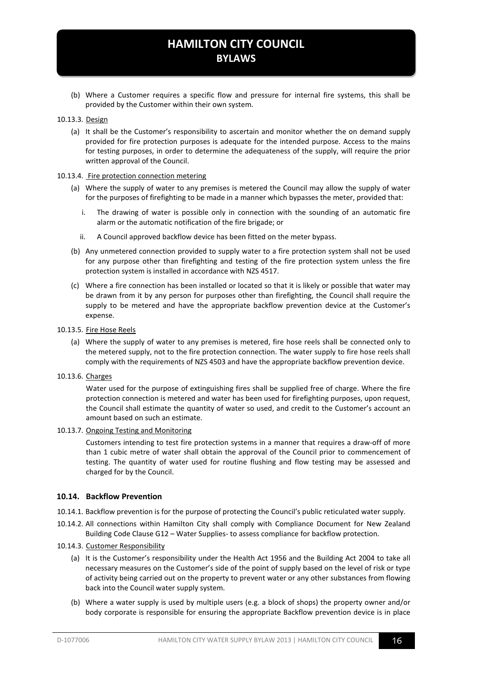(b) Where a Customer requires a specific flow and pressure for internal fire systems, this shall be provided by the Customer within their own system.

#### <span id="page-15-1"></span>10.13.3. Design

(a) It shall be the Customer's responsibility to ascertain and monitor whether the on demand supply provided for fire protection purposes is adequate for the intended purpose. Access to the mains for testing purposes, in order to determine the adequateness of the supply, will require the prior written approval of the Council.

#### 10.13.4. Fire protection connection metering

- (a) Where the supply of water to any premises is metered the Council may allow the supply of water for the purposes of firefighting to be made in a manner which bypasses the meter, provided that:
	- i. The drawing of water is possible only in connection with the sounding of an automatic fire alarm or the automatic notification of the fire brigade; or
	- ii. A Council approved backflow device has been fitted on the meter bypass.
- (b) Any unmetered connection provided to supply water to a fire protection system shall not be used for any purpose other than firefighting and testing of the fire protection system unless the fire protection system is installed in accordance with NZS 4517.
- (c) Where a fire connection has been installed or located so that it is likely or possible that water may be drawn from it by any person for purposes other than firefighting, the Council shall require the supply to be metered and have the appropriate backflow prevention device at the Customer's expense.
- 10.13.5. Fire Hose Reels
	- (a) Where the supply of water to any premises is metered, fire hose reels shall be connected only to the metered supply, not to the fire protection connection. The water supply to fire hose reels shall comply with the requirements of NZS 4503 and have the appropriate backflow prevention device.
- 10.13.6. Charges

Water used for the purpose of extinguishing fires shall be supplied free of charge. Where the fire protection connection is metered and water has been used for firefighting purposes, upon request, the Council shall estimate the quantity of water so used, and credit to the Customer's account an amount based on such an estimate.

10.13.7. Ongoing Testing and Monitoring

Customers intending to test fire protection systems in a manner that requires a draw-off of more than 1 cubic metre of water shall obtain the approval of the Council prior to commencement of testing. The quantity of water used for routine flushing and flow testing may be assessed and charged for by the Council.

#### <span id="page-15-0"></span>**10.14. Backflow Prevention**

- 10.14.1. Backflow prevention is for the purpose of protecting the Council's public reticulated water supply.
- 10.14.2. All connections within Hamilton City shall comply with Compliance Document for New Zealand Building Code Clause G12 – Water Supplies- to assess compliance for backflow protection.
- <span id="page-15-2"></span>10.14.3. Customer Responsibility
	- (a) It is the Customer's responsibility under the Health Act 1956 and the Building Act 2004 to take all necessary measures on the Customer's side of the point of supply based on the level of risk or type of activity being carried out on the property to prevent water or any other substances from flowing back into the Council water supply system.
	- (b) Where a water supply is used by multiple users (e.g. a block of shops) the property owner and/or body corporate is responsible for ensuring the appropriate Backflow prevention device is in place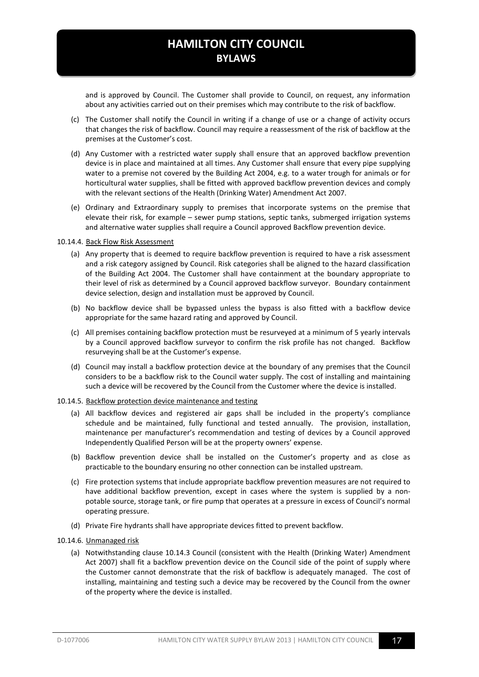and is approved by Council. The Customer shall provide to Council, on request, any information about any activities carried out on their premises which may contribute to the risk of backflow.

- (c) The Customer shall notify the Council in writing if a change of use or a change of activity occurs that changes the risk of backflow. Council may require a reassessment of the risk of backflow at the premises at the Customer's cost.
- (d) Any Customer with a restricted water supply shall ensure that an approved backflow prevention device is in place and maintained at all times. Any Customer shall ensure that every pipe supplying water to a premise not covered by the Building Act 2004, e.g. to a water trough for animals or for horticultural water supplies, shall be fitted with approved backflow prevention devices and comply with the relevant sections of the Health (Drinking Water) Amendment Act 2007.
- (e) Ordinary and Extraordinary supply to premises that incorporate systems on the premise that elevate their risk, for example – sewer pump stations, septic tanks, submerged irrigation systems and alternative water supplies shall require a Council approved Backflow prevention device.

#### 10.14.4. Back Flow Risk Assessment

- (a) Any property that is deemed to require backflow prevention is required to have a risk assessment and a risk category assigned by Council. Risk categories shall be aligned to the hazard classification of the Building Act 2004. The Customer shall have containment at the boundary appropriate to their level of risk as determined by a Council approved backflow surveyor. Boundary containment device selection, design and installation must be approved by Council.
- (b) No backflow device shall be bypassed unless the bypass is also fitted with a backflow device appropriate for the same hazard rating and approved by Council.
- (c) All premises containing backflow protection must be resurveyed at a minimum of 5 yearly intervals by a Council approved backflow surveyor to confirm the risk profile has not changed. Backflow resurveying shall be at the Customer's expense.
- (d) Council may install a backflow protection device at the boundary of any premises that the Council considers to be a backflow risk to the Council water supply. The cost of installing and maintaining such a device will be recovered by the Council from the Customer where the device is installed.

#### 10.14.5. Backflow protection device maintenance and testing

- (a) All backflow devices and registered air gaps shall be included in the property's compliance schedule and be maintained, fully functional and tested annually. The provision, installation, maintenance per manufacturer's recommendation and testing of devices by a Council approved Independently Qualified Person will be at the property owners' expense.
- (b) Backflow prevention device shall be installed on the Customer's property and as close as practicable to the boundary ensuring no other connection can be installed upstream.
- (c) Fire protection systems that include appropriate backflow prevention measures are not required to have additional backflow prevention, except in cases where the system is supplied by a nonpotable source, storage tank, or fire pump that operates at a pressure in excess of Council's normal operating pressure.
- (d) Private Fire hydrants shall have appropriate devices fitted to prevent backflow.

#### 10.14.6. Unmanaged risk

(a) Notwithstanding clause [10.14.3](#page-15-2) Council (consistent with the Health (Drinking Water) Amendment Act 2007) shall fit a backflow prevention device on the Council side of the point of supply where the Customer cannot demonstrate that the risk of backflow is adequately managed. The cost of installing, maintaining and testing such a device may be recovered by the Council from the owner of the property where the device is installed.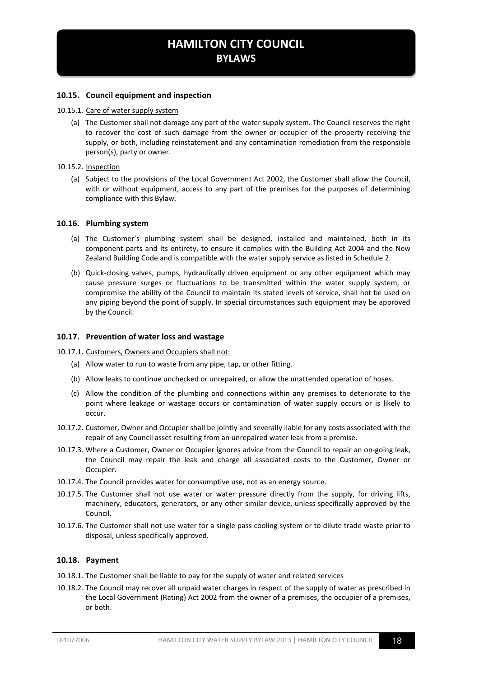#### <span id="page-17-0"></span>**10.15. Council equipment and inspection**

#### 10.15.1. Care of water supply system

(a) The Customer shall not damage any part of the water supply system. The Council reserves the right to recover the cost of such damage from the owner or occupier of the property receiving the supply, or both, including reinstatement and any contamination remediation from the responsible person(s), party or owner.

#### 10.15.2. Inspection

(a) Subject to the provisions of the Local Government Act 2002, the Customer shall allow the Council, with or without equipment, access to any part of the premises for the purposes of determining compliance with this Bylaw.

#### <span id="page-17-1"></span>**10.16. Plumbing system**

- (a) The Customer's plumbing system shall be designed, installed and maintained, both in its component parts and its entirety, to ensure it complies with the Building Act 2004 and the New Zealand Building Code and is compatible with the water supply service as listed in Schedule 2.
- (b) Quick-closing valves, pumps, hydraulically driven equipment or any other equipment which may cause pressure surges or fluctuations to be transmitted within the water supply system, or compromise the ability of the Council to maintain its stated levels of service, shall not be used on any piping beyond the point of supply. In special circumstances such equipment may be approved by the Council.

#### <span id="page-17-2"></span>**10.17. Prevention of water loss and wastage**

#### 10.17.1. Customers, Owners and Occupiers shall not:

- (a) Allow water to run to waste from any pipe, tap, or other fitting.
- (b) Allow leaks to continue unchecked or unrepaired, or allow the unattended operation of hoses.
- (c) Allow the condition of the plumbing and connections within any premises to deteriorate to the point where leakage or wastage occurs or contamination of water supply occurs or is likely to occur.
- 10.17.2. Customer, Owner and Occupier shall be jointly and severally liable for any costs associated with the repair of any Council asset resulting from an unrepaired water leak from a premise.
- <span id="page-17-4"></span>10.17.3. Where a Customer, Owner or Occupier ignores advice from the Council to repair an on-going leak, the Council may repair the leak and charge all associated costs to the Customer, Owner or Occupier.
- 10.17.4. The Council provides water for consumptive use, not as an energy source.
- 10.17.5. The Customer shall not use water or water pressure directly from the supply, for driving lifts, machinery, educators, generators, or any other similar device, unless specifically approved by the Council.
- 10.17.6. The Customer shall not use water for a single pass cooling system or to dilute trade waste prior to disposal, unless specifically approved.

#### <span id="page-17-3"></span>**10.18. Payment**

- 10.18.1. The Customer shall be liable to pay for the supply of water and related services
- 10.18.2. The Council may recover all unpaid water charges in respect of the supply of water as prescribed in the Local Government (Rating) Act 2002 from the owner of a premises, the occupier of a premises, or both.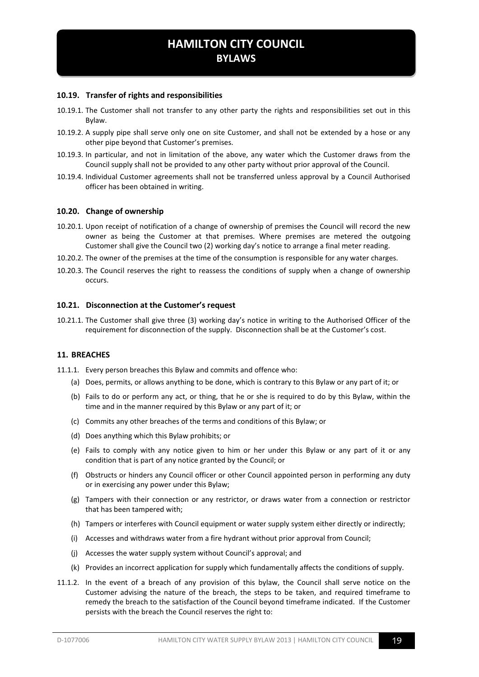#### <span id="page-18-0"></span>**10.19. Transfer of rights and responsibilities**

- 10.19.1. The Customer shall not transfer to any other party the rights and responsibilities set out in this Bylaw.
- 10.19.2. A supply pipe shall serve only one on site Customer, and shall not be extended by a hose or any other pipe beyond that Customer's premises.
- 10.19.3. In particular, and not in limitation of the above, any water which the Customer draws from the Council supply shall not be provided to any other party without prior approval of the Council.
- 10.19.4. Individual Customer agreements shall not be transferred unless approval by a Council Authorised officer has been obtained in writing.

#### <span id="page-18-1"></span>**10.20. Change of ownership**

- 10.20.1. Upon receipt of notification of a change of ownership of premises the Council will record the new owner as being the Customer at that premises. Where premises are metered the outgoing Customer shall give the Council two (2) working day's notice to arrange a final meter reading.
- 10.20.2. The owner of the premises at the time of the consumption is responsible for any water charges.
- 10.20.3. The Council reserves the right to reassess the conditions of supply when a change of ownership occurs.

#### <span id="page-18-2"></span>**10.21. Disconnection at the Customer's request**

10.21.1. The Customer shall give three (3) working day's notice in writing to the Authorised Officer of the requirement for disconnection of the supply. Disconnection shall be at the Customer's cost.

#### <span id="page-18-3"></span>**11. BREACHES**

- 11.1.1. Every person breaches this Bylaw and commits and offence who:
	- (a) Does, permits, or allows anything to be done, which is contrary to this Bylaw or any part of it; or
	- (b) Fails to do or perform any act, or thing, that he or she is required to do by this Bylaw, within the time and in the manner required by this Bylaw or any part of it; or
	- (c) Commits any other breaches of the terms and conditions of this Bylaw; or
	- (d) Does anything which this Bylaw prohibits; or
	- (e) Fails to comply with any notice given to him or her under this Bylaw or any part of it or any condition that is part of any notice granted by the Council; or
	- (f) Obstructs or hinders any Council officer or other Council appointed person in performing any duty or in exercising any power under this Bylaw;
	- (g) Tampers with their connection or any restrictor, or draws water from a connection or restrictor that has been tampered with;
	- (h) Tampers or interferes with Council equipment or water supply system either directly or indirectly;
	- (i) Accesses and withdraws water from a fire hydrant without prior approval from Council;
	- (j) Accesses the water supply system without Council's approval; and
	- (k) Provides an incorrect application for supply which fundamentally affects the conditions of supply.
- 11.1.2. In the event of a breach of any provision of this bylaw, the Council shall serve notice on the Customer advising the nature of the breach, the steps to be taken, and required timeframe to remedy the breach to the satisfaction of the Council beyond timeframe indicated. If the Customer persists with the breach the Council reserves the right to: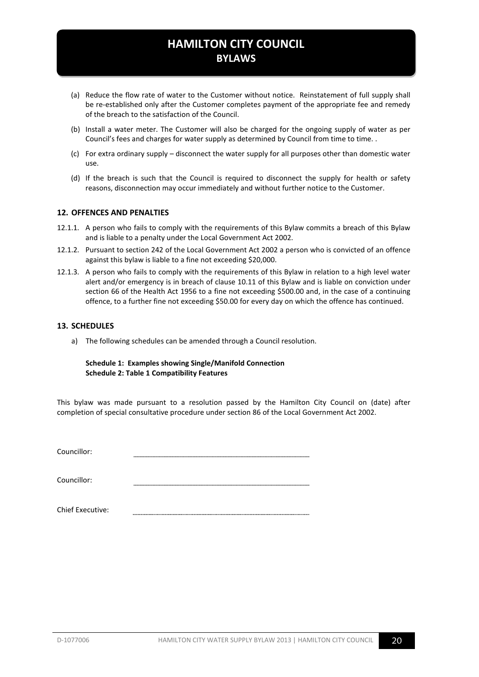- (a) Reduce the flow rate of water to the Customer without notice. Reinstatement of full supply shall be re-established only after the Customer completes payment of the appropriate fee and remedy of the breach to the satisfaction of the Council.
- (b) Install a water meter. The Customer will also be charged for the ongoing supply of water as per Council's fees and charges for water supply as determined by Council from time to time. .
- (c) For extra ordinary supply disconnect the water supply for all purposes other than domestic water use.
- (d) If the breach is such that the Council is required to disconnect the supply for health or safety reasons, disconnection may occur immediately and without further notice to the Customer.

#### <span id="page-19-0"></span>**12. OFFENCES AND PENALTIES**

- 12.1.1. A person who fails to comply with the requirements of this Bylaw commits a breach of this Bylaw and is liable to a penalty under the Local Government Act 2002.
- 12.1.2. Pursuant to section 242 of the Local Government Act 2002 a person who is convicted of an offence against this bylaw is liable to a fine not exceeding \$20,000.
- 12.1.3. A person who fails to comply with the requirements of this Bylaw in relation to a high level water alert and/or emergency is in breach of clause [10.11](#page-14-0) of this Bylaw and is liable on conviction under section 66 of the Health Act 1956 to a fine not exceeding \$500.00 and, in the case of a continuing offence, to a further fine not exceeding \$50.00 for every day on which the offence has continued.

#### <span id="page-19-1"></span>**13. SCHEDULES**

a) The following schedules can be amended through a Council resolution.

#### **Schedule 1: Examples showing Single/Manifold Connection Schedule 2: Table 1 Compatibility Features**

This bylaw was made pursuant to a resolution passed by the Hamilton City Council on (date) after completion of special consultative procedure under section 86 of the Local Government Act 2002.

Councillor:

Councillor:

Chief Executive: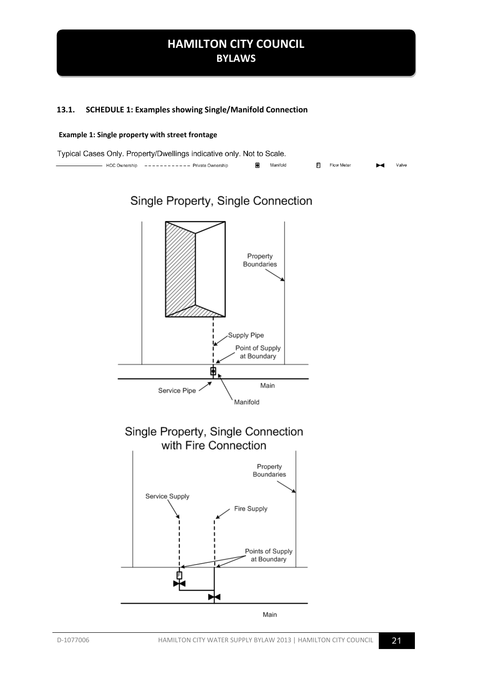#### <span id="page-20-0"></span>**13.1. SCHEDULE 1: Examples showing Single/Manifold Connection**

#### **Example 1: Single property with street frontage**

| Typical Cases Only. Property/Dwellings indicative only. Not to Scale. |  |                                             |  |  |          |  |              |                       |       |
|-----------------------------------------------------------------------|--|---------------------------------------------|--|--|----------|--|--------------|-----------------------|-------|
|                                                                       |  | HCC Ownership ----------- Private Ownership |  |  | Manifold |  | F Flow Meter | $\blacktriangleright$ | Valve |

Single Property, Single Connection

## Property **Boundaries** Supply Pipe Point of Supply at Boundary φ Main Service Pipe Manifold



# Fire Supply Points of Supply at Boundary 自

Main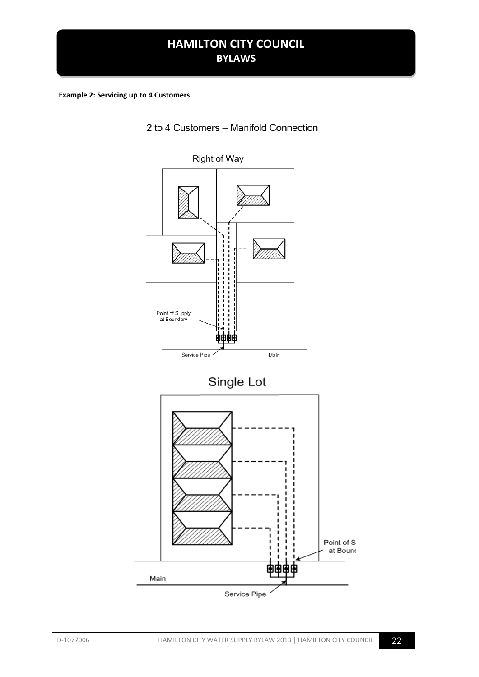#### **Example 2: Servicing up to 4 Customers**

2 to 4 Customers - Manifold Connection

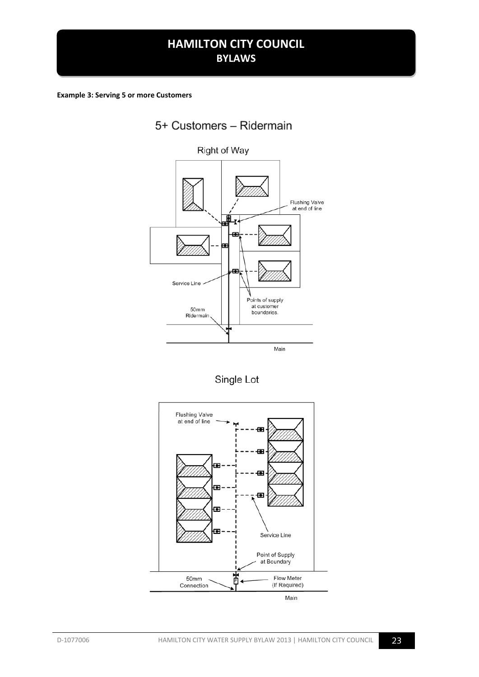**Example 3: Serving 5 or more Customers** 



Single Lot